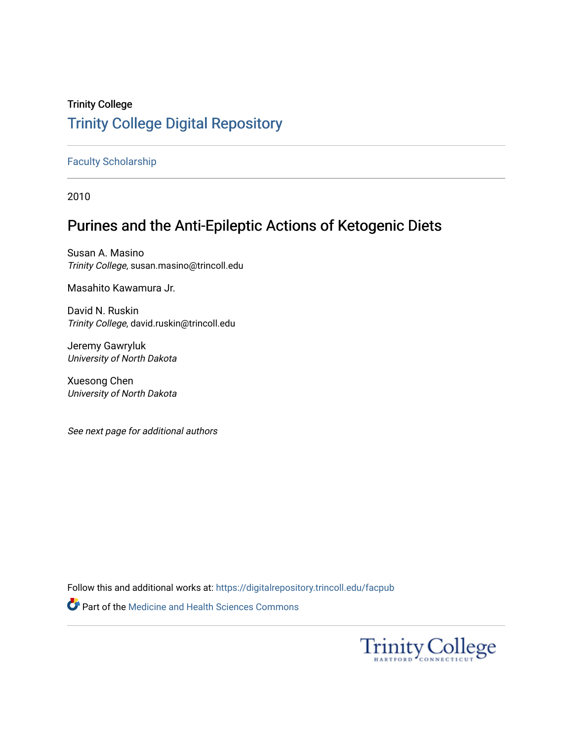# Trinity College [Trinity College Digital Repository](https://digitalrepository.trincoll.edu/)

### [Faculty Scholarship](https://digitalrepository.trincoll.edu/facpub)

2010

# Purines and the Anti-Epileptic Actions of Ketogenic Diets

Susan A. Masino Trinity College, susan.masino@trincoll.edu

Masahito Kawamura Jr.

David N. Ruskin Trinity College, david.ruskin@trincoll.edu

Jeremy Gawryluk University of North Dakota

Xuesong Chen University of North Dakota

See next page for additional authors

Follow this and additional works at: [https://digitalrepository.trincoll.edu/facpub](https://digitalrepository.trincoll.edu/facpub?utm_source=digitalrepository.trincoll.edu%2Ffacpub%2F25&utm_medium=PDF&utm_campaign=PDFCoverPages) 

Part of the [Medicine and Health Sciences Commons](http://network.bepress.com/hgg/discipline/648?utm_source=digitalrepository.trincoll.edu%2Ffacpub%2F25&utm_medium=PDF&utm_campaign=PDFCoverPages) 

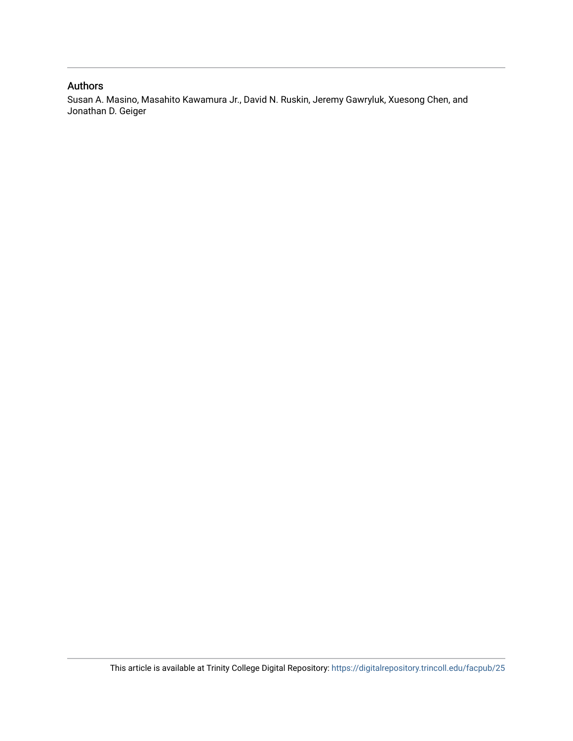### Authors

Susan A. Masino, Masahito Kawamura Jr., David N. Ruskin, Jeremy Gawryluk, Xuesong Chen, and Jonathan D. Geiger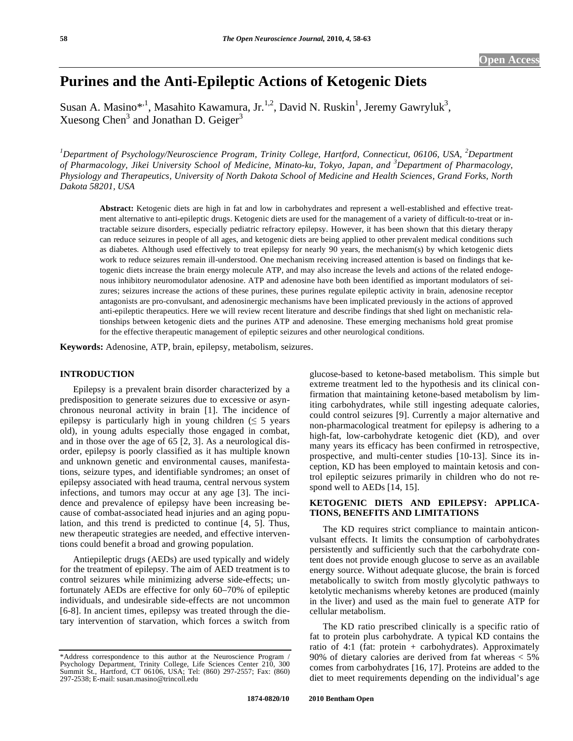## **Purines and the Anti-Epileptic Actions of Ketogenic Diets**

Susan A. Masino\*<sup>,1</sup>, Masahito Kawamura, Jr.<sup>1,2</sup>, David N. Ruskin<sup>1</sup>, Jeremy Gawryluk<sup>3</sup>, Xuesong Chen<sup>3</sup> and Jonathan D. Geiger<sup>3</sup>

<sup>1</sup>Department of Psychology/Neuroscience Program, Trinity College, Hartford, Connecticut, 06106, USA, <sup>2</sup>Department *of Pharmacology, Jikei University School of Medicine, Minato-ku, Tokyo, Japan, and <sup>3</sup> Department of Pharmacology, Physiology and Therapeutics, University of North Dakota School of Medicine and Health Sciences, Grand Forks, North Dakota 58201, USA* 

**Abstract:** Ketogenic diets are high in fat and low in carbohydrates and represent a well-established and effective treatment alternative to anti-epileptic drugs. Ketogenic diets are used for the management of a variety of difficult-to-treat or intractable seizure disorders, especially pediatric refractory epilepsy. However, it has been shown that this dietary therapy can reduce seizures in people of all ages, and ketogenic diets are being applied to other prevalent medical conditions such as diabetes. Although used effectively to treat epilepsy for nearly 90 years, the mechanism(s) by which ketogenic diets work to reduce seizures remain ill-understood. One mechanism receiving increased attention is based on findings that ketogenic diets increase the brain energy molecule ATP, and may also increase the levels and actions of the related endogenous inhibitory neuromodulator adenosine. ATP and adenosine have both been identified as important modulators of seizures; seizures increase the actions of these purines, these purines regulate epileptic activity in brain, adenosine receptor antagonists are pro-convulsant, and adenosinergic mechanisms have been implicated previously in the actions of approved anti-epileptic therapeutics. Here we will review recent literature and describe findings that shed light on mechanistic relationships between ketogenic diets and the purines ATP and adenosine. These emerging mechanisms hold great promise for the effective therapeutic management of epileptic seizures and other neurological conditions.

**Keywords:** Adenosine, ATP, brain, epilepsy, metabolism, seizures.

#### **INTRODUCTION**

Epilepsy is a prevalent brain disorder characterized by a predisposition to generate seizures due to excessive or asynchronous neuronal activity in brain [1]. The incidence of epilepsy is particularly high in young children  $( \leq 5 \text{ years})$ old), in young adults especially those engaged in combat, and in those over the age of 65 [2, 3]. As a neurological disorder, epilepsy is poorly classified as it has multiple known and unknown genetic and environmental causes, manifestations, seizure types, and identifiable syndromes; an onset of epilepsy associated with head trauma, central nervous system infections, and tumors may occur at any age [3]. The incidence and prevalence of epilepsy have been increasing because of combat-associated head injuries and an aging population, and this trend is predicted to continue [4, 5]. Thus, new therapeutic strategies are needed, and effective interventions could benefit a broad and growing population.

Antiepileptic drugs (AEDs) are used typically and widely for the treatment of epilepsy. The aim of AED treatment is to control seizures while minimizing adverse side-effects; unfortunately AEDs are effective for only 60–70% of epileptic individuals, and undesirable side-effects are not uncommon [6-8]. In ancient times, epilepsy was treated through the dietary intervention of starvation, which forces a switch from glucose-based to ketone-based metabolism. This simple but extreme treatment led to the hypothesis and its clinical confirmation that maintaining ketone-based metabolism by limiting carbohydrates, while still ingesting adequate calories, could control seizures [9]. Currently a major alternative and non-pharmacological treatment for epilepsy is adhering to a high-fat, low-carbohydrate ketogenic diet (KD), and over many years its efficacy has been confirmed in retrospective, prospective, and multi-center studies [10-13]. Since its inception, KD has been employed to maintain ketosis and control epileptic seizures primarily in children who do not respond well to AEDs [14, 15].

#### **KETOGENIC DIETS AND EPILEPSY: APPLICA-TIONS, BENEFITS AND LIMITATIONS**

The KD requires strict compliance to maintain anticonvulsant effects. It limits the consumption of carbohydrates persistently and sufficiently such that the carbohydrate content does not provide enough glucose to serve as an available energy source. Without adequate glucose, the brain is forced metabolically to switch from mostly glycolytic pathways to ketolytic mechanisms whereby ketones are produced (mainly in the liver) and used as the main fuel to generate ATP for cellular metabolism.

The KD ratio prescribed clinically is a specific ratio of fat to protein plus carbohydrate. A typical KD contains the ratio of 4:1 (fat: protein + carbohydrates). Approximately 90% of dietary calories are derived from fat whereas < 5% comes from carbohydrates [16, 17]. Proteins are added to the diet to meet requirements depending on the individual's age

<sup>\*</sup>Address correspondence to this author at the Neuroscience Program / Psychology Department, Trinity College, Life Sciences Center 210, 300 Summit St., Hartford, CT 06106, USA; Tel: (860) 297-2557; Fax: (860) 297-2538; E-mail: susan.masino@trincoll.edu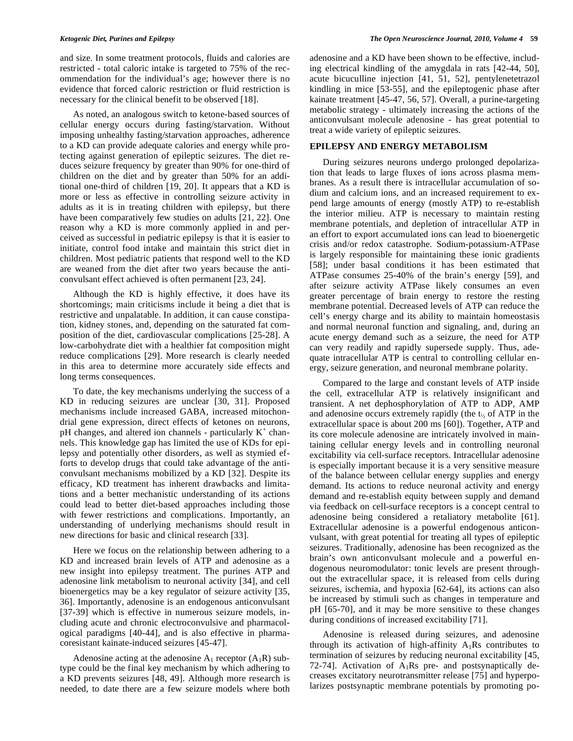and size. In some treatment protocols, fluids and calories are restricted - total caloric intake is targeted to 75% of the recommendation for the individual's age; however there is no evidence that forced caloric restriction or fluid restriction is necessary for the clinical benefit to be observed [18].

As noted, an analogous switch to ketone-based sources of cellular energy occurs during fasting/starvation. Without imposing unhealthy fasting/starvation approaches, adherence to a KD can provide adequate calories and energy while protecting against generation of epileptic seizures. The diet reduces seizure frequency by greater than 90% for one-third of children on the diet and by greater than 50% for an additional one-third of children [19, 20]. It appears that a KD is more or less as effective in controlling seizure activity in adults as it is in treating children with epilepsy, but there have been comparatively few studies on adults [21, 22]. One reason why a KD is more commonly applied in and perceived as successful in pediatric epilepsy is that it is easier to initiate, control food intake and maintain this strict diet in children. Most pediatric patients that respond well to the KD are weaned from the diet after two years because the anticonvulsant effect achieved is often permanent [23, 24].

Although the KD is highly effective, it does have its shortcomings; main criticisms include it being a diet that is restrictive and unpalatable. In addition, it can cause constipation, kidney stones, and, depending on the saturated fat composition of the diet, cardiovascular complications [25-28]. A low-carbohydrate diet with a healthier fat composition might reduce complications [29]. More research is clearly needed in this area to determine more accurately side effects and long terms consequences.

To date, the key mechanisms underlying the success of a KD in reducing seizures are unclear [30, 31]. Proposed mechanisms include increased GABA, increased mitochondrial gene expression, direct effects of ketones on neurons,  $pH$  changes, and altered ion channels - particularly  $K^+$  channels. This knowledge gap has limited the use of KDs for epilepsy and potentially other disorders, as well as stymied efforts to develop drugs that could take advantage of the anticonvulsant mechanisms mobilized by a KD [32]. Despite its efficacy, KD treatment has inherent drawbacks and limitations and a better mechanistic understanding of its actions could lead to better diet-based approaches including those with fewer restrictions and complications. Importantly, an understanding of underlying mechanisms should result in new directions for basic and clinical research [33].

Here we focus on the relationship between adhering to a KD and increased brain levels of ATP and adenosine as a new insight into epilepsy treatment. The purines ATP and adenosine link metabolism to neuronal activity [34], and cell bioenergetics may be a key regulator of seizure activity [35, 36]. Importantly, adenosine is an endogenous anticonvulsant [37-39] which is effective in numerous seizure models, including acute and chronic electroconvulsive and pharmacological paradigms [40-44], and is also effective in pharmacoresistant kainate-induced seizures [45-47].

Adenosine acting at the adenosine  $A_1$  receptor  $(A_1R)$  subtype could be the final key mechanism by which adhering to a KD prevents seizures [48, 49]. Although more research is needed, to date there are a few seizure models where both

adenosine and a KD have been shown to be effective, including electrical kindling of the amygdala in rats [42-44, 50], acute bicuculline injection [41, 51, 52], pentylenetetrazol kindling in mice [53-55], and the epileptogenic phase after kainate treatment [45-47, 56, 57]. Overall, a purine-targeting metabolic strategy - ultimately increasing the actions of the anticonvulsant molecule adenosine - has great potential to treat a wide variety of epileptic seizures.

#### **EPILEPSY AND ENERGY METABOLISM**

During seizures neurons undergo prolonged depolarization that leads to large fluxes of ions across plasma membranes. As a result there is intracellular accumulation of sodium and calcium ions, and an increased requirement to expend large amounts of energy (mostly ATP) to re-establish the interior milieu. ATP is necessary to maintain resting membrane potentials, and depletion of intracellular ATP in an effort to export accumulated ions can lead to bioenergetic crisis and/or redox catastrophe. Sodium-potassium-ATPase is largely responsible for maintaining these ionic gradients [58]; under basal conditions it has been estimated that ATPase consumes 25-40% of the brain's energy [59], and after seizure activity ATPase likely consumes an even greater percentage of brain energy to restore the resting membrane potential. Decreased levels of ATP can reduce the cell's energy charge and its ability to maintain homeostasis and normal neuronal function and signaling, and, during an acute energy demand such as a seizure, the need for ATP can very readily and rapidly supersede supply. Thus, adequate intracellular ATP is central to controlling cellular energy, seizure generation, and neuronal membrane polarity.

Compared to the large and constant levels of ATP inside the cell, extracellular ATP is relatively insignificant and transient. A net dephosphorylation of ATP to ADP, AMP and adenosine occurs extremely rapidly (the  $t_{1/2}$  of ATP in the extracellular space is about 200 ms [60]). Together, ATP and its core molecule adenosine are intricately involved in maintaining cellular energy levels and in controlling neuronal excitability via cell-surface receptors. Intracellular adenosine is especially important because it is a very sensitive measure of the balance between cellular energy supplies and energy demand. Its actions to reduce neuronal activity and energy demand and re-establish equity between supply and demand via feedback on cell-surface receptors is a concept central to adenosine being considered a retaliatory metabolite [61]. Extracellular adenosine is a powerful endogenous anticonvulsant, with great potential for treating all types of epileptic seizures. Traditionally, adenosine has been recognized as the brain's own anticonvulsant molecule and a powerful endogenous neuromodulator: tonic levels are present throughout the extracellular space, it is released from cells during seizures, ischemia, and hypoxia [62-64], its actions can also be increased by stimuli such as changes in temperature and pH [65-70], and it may be more sensitive to these changes during conditions of increased excitability [71].

Adenosine is released during seizures, and adenosine through its activation of high-affinity  $A_1Rs$  contributes to termination of seizures by reducing neuronal excitability [45, 72-74]. Activation of  $A_1Rs$  pre- and postsynaptically decreases excitatory neurotransmitter release [75] and hyperpolarizes postsynaptic membrane potentials by promoting po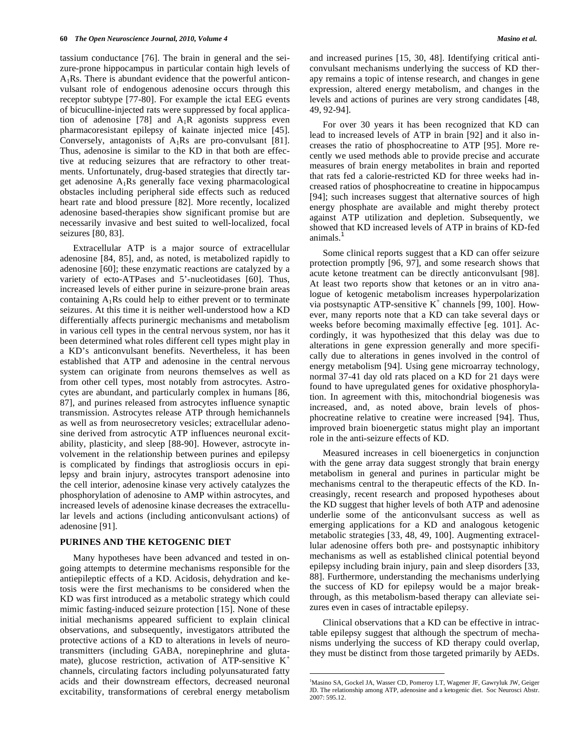tassium conductance [76]. The brain in general and the seizure-prone hippocampus in particular contain high levels of A1Rs. There is abundant evidence that the powerful anticonvulsant role of endogenous adenosine occurs through this receptor subtype [77-80]. For example the ictal EEG events of bicuculline-injected rats were suppressed by focal application of adenosine [78] and  $A_1R$  agonists suppress even pharmacoresistant epilepsy of kainate injected mice [45]. Conversely, antagonists of  $A_1Rs$  are pro-convulsant [81]. Thus, adenosine is similar to the KD in that both are effective at reducing seizures that are refractory to other treatments. Unfortunately, drug-based strategies that directly target adenosine  $A_1Rs$  generally face vexing pharmacological obstacles including peripheral side effects such as reduced heart rate and blood pressure [82]. More recently, localized adenosine based-therapies show significant promise but are necessarily invasive and best suited to well-localized, focal seizures [80, 83].

Extracellular ATP is a major source of extracellular adenosine [84, 85], and, as noted, is metabolized rapidly to adenosine [60]; these enzymatic reactions are catalyzed by a variety of ecto-ATPases and 5'-nucleotidases [60]. Thus, increased levels of either purine in seizure-prone brain areas containing  $A_1Rs$  could help to either prevent or to terminate seizures. At this time it is neither well-understood how a KD differentially affects purinergic mechanisms and metabolism in various cell types in the central nervous system, nor has it been determined what roles different cell types might play in a KD's anticonvulsant benefits. Nevertheless, it has been established that ATP and adenosine in the central nervous system can originate from neurons themselves as well as from other cell types, most notably from astrocytes. Astrocytes are abundant, and particularly complex in humans [86, 87], and purines released from astrocytes influence synaptic transmission. Astrocytes release ATP through hemichannels as well as from neurosecretory vesicles; extracellular adenosine derived from astrocytic ATP influences neuronal excitability, plasticity, and sleep [88-90]. However, astrocyte involvement in the relationship between purines and epilepsy is complicated by findings that astrogliosis occurs in epilepsy and brain injury, astrocytes transport adenosine into the cell interior, adenosine kinase very actively catalyzes the phosphorylation of adenosine to AMP within astrocytes, and increased levels of adenosine kinase decreases the extracellular levels and actions (including anticonvulsant actions) of adenosine [91].

### **PURINES AND THE KETOGENIC DIET**

Many hypotheses have been advanced and tested in ongoing attempts to determine mechanisms responsible for the antiepileptic effects of a KD. Acidosis, dehydration and ketosis were the first mechanisms to be considered when the KD was first introduced as a metabolic strategy which could mimic fasting-induced seizure protection [15]. None of these initial mechanisms appeared sufficient to explain clinical observations, and subsequently, investigators attributed the protective actions of a KD to alterations in levels of neurotransmitters (including GABA, norepinephrine and glutamate), glucose restriction, activation of ATP-sensitive  $K^+$ channels, circulating factors including polyunsaturated fatty acids and their downstream effectors, decreased neuronal excitability, transformations of cerebral energy metabolism and increased purines [15, 30, 48]. Identifying critical anticonvulsant mechanisms underlying the success of KD therapy remains a topic of intense research, and changes in gene expression, altered energy metabolism, and changes in the levels and actions of purines are very strong candidates [48, 49, 92-94].

For over 30 years it has been recognized that KD can lead to increased levels of ATP in brain [92] and it also increases the ratio of phosphocreatine to ATP [95]. More recently we used methods able to provide precise and accurate measures of brain energy metabolites in brain and reported that rats fed a calorie-restricted KD for three weeks had increased ratios of phosphocreatine to creatine in hippocampus [94]; such increases suggest that alternative sources of high energy phosphate are available and might thereby protect against ATP utilization and depletion. Subsequently, we showed that KD increased levels of ATP in brains of KD-fed animals.<sup>1</sup>

Some clinical reports suggest that a KD can offer seizure protection promptly [96, 97], and some research shows that acute ketone treatment can be directly anticonvulsant [98]. At least two reports show that ketones or an in vitro analogue of ketogenic metabolism increases hyperpolarization via postsynaptic ATP-sensitive  $K^+$  channels [99, 100]. However, many reports note that a KD can take several days or weeks before becoming maximally effective [eg. 101]. Accordingly, it was hypothesized that this delay was due to alterations in gene expression generally and more specifically due to alterations in genes involved in the control of energy metabolism [94]. Using gene microarray technology, normal 37-41 day old rats placed on a KD for 21 days were found to have upregulated genes for oxidative phosphorylation. In agreement with this, mitochondrial biogenesis was increased, and, as noted above, brain levels of phosphocreatine relative to creatine were increased [94]. Thus, improved brain bioenergetic status might play an important role in the anti-seizure effects of KD.

Measured increases in cell bioenergetics in conjunction with the gene array data suggest strongly that brain energy metabolism in general and purines in particular might be mechanisms central to the therapeutic effects of the KD. Increasingly, recent research and proposed hypotheses about the KD suggest that higher levels of both ATP and adenosine underlie some of the anticonvulsant success as well as emerging applications for a KD and analogous ketogenic metabolic strategies [33, 48, 49, 100]. Augmenting extracellular adenosine offers both pre- and postsynaptic inhibitory mechanisms as well as established clinical potential beyond epilepsy including brain injury, pain and sleep disorders [33, 88]. Furthermore, understanding the mechanisms underlying the success of KD for epilepsy would be a major breakthrough, as this metabolism-based therapy can alleviate seizures even in cases of intractable epilepsy.

Clinical observations that a KD can be effective in intractable epilepsy suggest that although the spectrum of mechanisms underlying the success of KD therapy could overlap, they must be distinct from those targeted primarily by AEDs.

 $\overline{a}$ 

<sup>&</sup>lt;sup>1</sup>Masino SA, Gockel JA, Wasser CD, Pomeroy LT, Wagener JF, Gawryluk JW, Geiger JD. The relationship among ATP, adenosine and a ketogenic diet. Soc Neurosci Abstr. 2007: 595.12.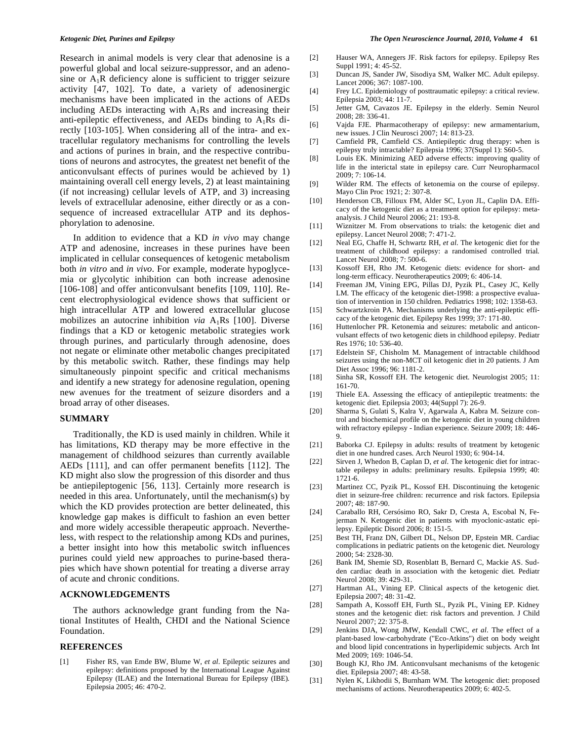Research in animal models is very clear that adenosine is a powerful global and local seizure-suppressor, and an adenosine or  $A_1R$  deficiency alone is sufficient to trigger seizure activity [47, 102]. To date, a variety of adenosinergic mechanisms have been implicated in the actions of AEDs including AEDs interacting with  $A_1Rs$  and increasing their anti-epileptic effectiveness, and AEDs binding to  $A_1Rs$  directly [103-105]. When considering all of the intra- and extracellular regulatory mechanisms for controlling the levels and actions of purines in brain, and the respective contributions of neurons and astrocytes, the greatest net benefit of the anticonvulsant effects of purines would be achieved by 1) maintaining overall cell energy levels, 2) at least maintaining (if not increasing) cellular levels of ATP, and 3) increasing levels of extracellular adenosine, either directly or as a consequence of increased extracellular ATP and its dephosphorylation to adenosine.

In addition to evidence that a KD *in vivo* may change ATP and adenosine, increases in these purines have been implicated in cellular consequences of ketogenic metabolism both *in vitro* and *in vivo*. For example, moderate hypoglycemia or glycolytic inhibition can both increase adenosine [106-108] and offer anticonvulsant benefits [109, 110]. Recent electrophysiological evidence shows that sufficient or high intracellular ATP and lowered extracellular glucose mobilizes an autocrine inhibition *via*  $A_1Rs$  [100]. Diverse findings that a KD or ketogenic metabolic strategies work through purines, and particularly through adenosine, does not negate or eliminate other metabolic changes precipitated by this metabolic switch. Rather, these findings may help simultaneously pinpoint specific and critical mechanisms and identify a new strategy for adenosine regulation, opening new avenues for the treatment of seizure disorders and a broad array of other diseases.

#### **SUMMARY**

Traditionally, the KD is used mainly in children. While it has limitations, KD therapy may be more effective in the management of childhood seizures than currently available AEDs [111], and can offer permanent benefits [112]. The KD might also slow the progression of this disorder and thus be antiepileptogenic [56, 113]. Certainly more research is needed in this area. Unfortunately, until the mechanism(s) by which the KD provides protection are better delineated, this knowledge gap makes is difficult to fashion an even better and more widely accessible therapeutic approach. Nevertheless, with respect to the relationship among KDs and purines, a better insight into how this metabolic switch influences purines could yield new approaches to purine-based therapies which have shown potential for treating a diverse array of acute and chronic conditions.

#### **ACKNOWLEDGEMENTS**

The authors acknowledge grant funding from the National Institutes of Health, CHDI and the National Science Foundation.

#### **REFERENCES**

[1] Fisher RS, van Emde BW, Blume W, *et al*. Epileptic seizures and epilepsy: definitions proposed by the International League Against Epilepsy (ILAE) and the International Bureau for Epilepsy (IBE)*.* Epilepsia 2005; 46: 470-2.

- [2] Hauser WA, Annegers JF. Risk factors for epilepsy*.* Epilepsy Res Suppl 1991; 4: 45-52.
- [3] Duncan JS, Sander JW, Sisodiya SM, Walker MC. Adult epilepsy*.* Lancet 2006; 367: 1087-100.
- [4] Frey LC. Epidemiology of posttraumatic epilepsy: a critical review*.* Epilepsia 2003; 44: 11-7.
- [5] Jetter GM, Cavazos JE. Epilepsy in the elderly*.* Semin Neurol 2008; 28: 336-41.
- [6] Vajda FJE. Pharmacotherapy of epilepsy: new armamentarium, new issues*.* J Clin Neurosci 2007; 14: 813-23.
- [7] Camfield PR, Camfield CS. Antiepileptic drug therapy: when is epilepsy truly intractable? Epilepsia 1996; 37(Suppl 1): S60-5.
- [8] Louis EK. Minimizing AED adverse effects: improving quality of life in the interictal state in epilepsy care*.* Curr Neuropharmacol 2009; 7: 106-14.
- [9] Wilder RM. The effects of ketonemia on the course of epilepsy*.* Mayo Clin Proc 1921; 2: 307-8.
- [10] Henderson CB, Filloux FM, Alder SC, Lyon JL, Caplin DA. Efficacy of the ketogenic diet as a treatment option for epilepsy: metaanalysis*.* J Child Neurol 2006; 21: 193-8.
- [11] Wiznitzer M. From observations to trials: the ketogenic diet and epilepsy*.* Lancet Neurol 2008; 7: 471-2.
- [12] Neal EG, Chaffe H, Schwartz RH, *et al*. The ketogenic diet for the treatment of childhood epilepsy: a randomised controlled trial*.* Lancet Neurol 2008; 7: 500-6.
- [13] Kossoff EH, Rho JM. Ketogenic diets: evidence for short- and long-term efficacy*.* Neurotherapeutics 2009; 6: 406-14.
- [14] Freeman JM, Vining EPG, Pillas DJ, Pyzik PL, Casey JC, Kelly LM. The efficacy of the ketogenic diet-1998: a prospective evaluation of intervention in 150 children*.* Pediatrics 1998; 102: 1358-63.
- [15] Schwartzkroin PA. Mechanisms underlying the anti-epileptic efficacy of the ketogenic diet*.* Epilepsy Res 1999; 37: 171-80.
- [16] Huttenlocher PR. Ketonemia and seizures: metabolic and anticonvulsant effects of two ketogenic diets in childhood epilepsy*.* Pediatr Res 1976; 10: 536-40.
- [17] Edelstein SF, Chisholm M. Management of intractable childhood seizures using the non-MCT oil ketogenic diet in 20 patients*.* J Am Diet Assoc 1996; 96: 1181-2.
- [18] Sinha SR, Kossoff EH. The ketogenic diet*.* Neurologist 2005; 11: 161-70.
- [19] Thiele EA. Assessing the efficacy of antiepileptic treatments: the ketogenic diet*.* Epilepsia 2003; 44(Suppl 7): 26-9.
- [20] Sharma S, Gulati S, Kalra V, Agarwala A, Kabra M. Seizure control and biochemical profile on the ketogenic diet in young children with refractory epilepsy - Indian experience*.* Seizure 2009; 18: 446- 9.
- [21] Baborka CJ. Epilepsy in adults: results of treatment by ketogenic diet in one hundred cases*.* Arch Neurol 1930; 6: 904-14.
- [22] Sirven J, Whedon B, Caplan D, *et al*. The ketogenic diet for intractable epilepsy in adults: preliminary results. Epilepsia 1999; 40: 1721-6.
- [23] Martinez CC, Pyzik PL, Kossof EH. Discontinuing the ketogenic diet in seizure-free children: recurrence and risk factors*.* Epilepsia 2007; 48: 187-90.
- [24] Caraballo RH, Cersósimo RO, Sakr D, Cresta A, Escobal N, Fejerman N. Ketogenic diet in patients with myoclonic-astatic epilepsy*.* Epileptic Disord 2006; 8: 151-5.
- [25] Best TH, Franz DN, Gilbert DL, Nelson DP, Epstein MR. Cardiac complications in pediatric patients on the ketogenic diet*.* Neurology 2000; 54: 2328-30.
- [26] Bank IM, Shemie SD, Rosenblatt B, Bernard C, Mackie AS. Sudden cardiac death in association with the ketogenic diet*.* Pediatr Neurol 2008; 39: 429-31.
- [27] Hartman AL, Vining EP. Clinical aspects of the ketogenic diet*.* Epilepsia 2007; 48: 31-42.
- [28] Sampath A, Kossoff EH, Furth SL, Pyzik PL, Vining EP. Kidney stones and the ketogenic diet: risk factors and prevention*.* J Child Neurol 2007; 22: 375-8.
- [29] Jenkins DJA, Wong JMW, Kendall CWC, *et al*. The effect of a plant-based low-carbohydrate ("Eco-Atkins") diet on body weight and blood lipid concentrations in hyperlipidemic subjects*.* Arch Int Med 2009; 169: 1046-54.
- [30] Bough KJ, Rho JM. Anticonvulsant mechanisms of the ketogenic diet*.* Epilepsia 2007; 48: 43-58.
- [31] Nylen K, Likhodii S, Burnham WM. The ketogenic diet: proposed mechanisms of actions*.* Neurotherapeutics 2009; 6: 402-5.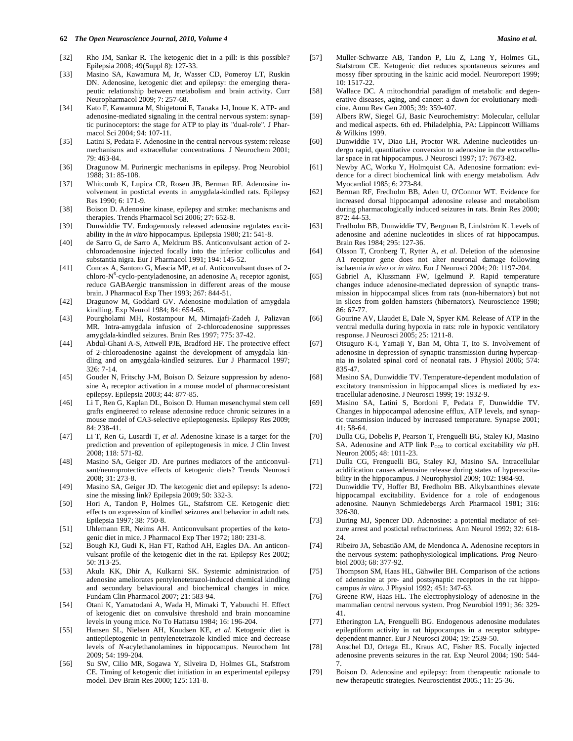- [32] Rho JM, Sankar R. The ketogenic diet in a pill: is this possible? Epilepsia 2008; 49(Suppl 8): 127-33.
- [33] Masino SA, Kawamura M, Jr, Wasser CD, Pomeroy LT, Ruskin DN. Adenosine, ketogenic diet and epilepsy: the emerging therapeutic relationship between metabolism and brain activity*.* Curr Neuropharmacol 2009; 7: 257-68.
- [34] Kato F, Kawamura M, Shigetomi E, Tanaka J-I, Inoue K. ATP- and adenosine-mediated signaling in the central nervous system: synaptic purinoceptors: the stage for ATP to play its "dual-role"*.* J Pharmacol Sci 2004; 94: 107-11.
- [35] Latini S, Pedata F. Adenosine in the central nervous system: release mechanisms and extracellular concentrations*.* J Neurochem 2001; 79: 463-84.
- [36] Dragunow M. Purinergic mechanisms in epilepsy*.* Prog Neurobiol 1988; 31: 85-108.
- [37] Whitcomb K, Lupica CR, Rosen JB, Berman RF. Adenosine involvement in postictal events in amygdala-kindled rats*.* Epilepsy Res 1990; 6: 171-9.
- [38] Boison D. Adenosine kinase, epilepsy and stroke: mechanisms and therapies*.* Trends Pharmacol Sci 2006; 27: 652-8.
- [39] Dunwiddie TV. Endogenously released adenosine regulates excitability in the *in vitro* hippocampus*.* Epilepsia 1980; 21: 541-8.
- [40] de Sarro G, de Sarro A, Meldrum BS. Anticonvulsant action of 2 chloroadenosine injected focally into the inferior colliculus and substantia nigra*.* Eur J Pharmacol 1991; 194: 145-52.
- [41] Concas A, Santoro G, Mascia MP, *et al*. Anticonvulsant doses of 2 chloro- $N^6$ -cyclo-pentyladenosine, an adenosine  $A_1$  receptor agonist, reduce GABAergic transmission in different areas of the mouse brain*.* J Pharmacol Exp Ther 1993; 267: 844-51.
- [42] Dragunow M, Goddard GV. Adenosine modulation of amygdala kindling*.* Exp Neurol 1984; 84: 654-65.
- [43] Pourgholami MH, Rostampour M, Mirnajafi-Zadeh J, Palizvan MR. Intra-amygdala infusion of 2-chloroadenosine suppresses amygdala-kindled seizures*.* Brain Res 1997; 775: 37-42.
- [44] Abdul-Ghani A-S, Attwell PJE, Bradford HF. The protective effect of 2-chloroadenosine against the development of amygdala kindling and on amygdala-kindled seizures*.* Eur J Pharmacol 1997; 326: 7-14.
- [45] Gouder N, Fritschy J-M, Boison D. Seizure suppression by adenosine  $A_1$  receptor activation in a mouse model of pharmacoresistant epilepsy*.* Epilepsia 2003; 44: 877-85.
- [46] Li T, Ren G, Kaplan DL, Boison D. Human mesenchymal stem cell grafts engineered to release adenosine reduce chronic seizures in a mouse model of CA3-selective epileptogenesis*.* Epilepsy Res 2009; 84: 238-41.
- [47] Li T, Ren G, Lusardi T, *et al*. Adenosine kinase is a target for the prediction and prevention of epileptogenesis in mice*.* J Clin Invest 2008; 118: 571-82.
- [48] Masino SA, Geiger JD. Are purines mediators of the anticonvulsant/neuroprotective effects of ketogenic diets? Trends Neurosci 2008; 31: 273-8.
- [49] Masino SA, Geiger JD. The ketogenic diet and epilepsy: Is adenosine the missing link? Epilepsia 2009; 50: 332-3.
- [50] Hori A, Tandon P, Holmes GL, Stafstrom CE. Ketogenic diet: effects on expression of kindled seizures and behavior in adult rats*.* Epilepsia 1997; 38: 750-8.
- [51] Uhlemann ER, Neims AH. Anticonvulsant properties of the ketogenic diet in mice*.* J Pharmacol Exp Ther 1972; 180: 231-8.
- [52] Bough KJ, Gudi K, Han FT, Rathod AH, Eagles DA. An anticonvulsant profile of the ketogenic diet in the rat*.* Epilepsy Res 2002; 50: 313-25.
- [53] Akula KK, Dhir A, Kulkarni SK. Systemic administration of adenosine ameliorates pentylenetetrazol-induced chemical kindling and secondary behavioural and biochemical changes in mice*.* Fundam Clin Pharmacol 2007; 21: 583-94.
- [54] Otani K, Yamatodani A, Wada H, Mimaki T, Yabuuchi H. Effect of ketogenic diet on convulsive threshold and brain monoamine levels in young mice*.* No To Hattatsu 1984; 16: 196-204.
- [55] Hansen SL, Nielsen AH, Knudsen KE, *et al*. Ketogenic diet is antiepileptogenic in pentylenetetrazole kindled mice and decrease levels of *N*-acylethanolamines in hippocampus*.* Neurochem Int 2009; 54: 199-204.
- [56] Su SW, Cilio MR, Sogawa Y, Silveira D, Holmes GL, Stafstrom CE. Timing of ketogenic diet initiation in an experimental epilepsy model*.* Dev Brain Res 2000; 125: 131-8.
- [57] Muller-Schwarze AB, Tandon P, Liu Z, Lang Y, Holmes GL, Stafstrom CE. Ketogenic diet reduces spontaneous seizures and mossy fiber sprouting in the kainic acid model*.* Neuroreport 1999; 10: 1517-22.
- [58] Wallace DC. A mitochondrial paradigm of metabolic and degenerative diseases, aging, and cancer: a dawn for evolutionary medicine*.* Annu Rev Gen 2005; 39: 359-407.
- [59] Albers RW, Siegel GJ, Basic Neurochemistry: Molecular, cellular and medical aspects. 6th ed. Philadelphia, PA: Lippincott Williams & Wilkins 1999.
- [60] Dunwiddie TV, Diao LH, Proctor WR. Adenine nucleotides undergo rapid, quantitative conversion to adenosine in the extracellular space in rat hippocampus*.* J Neurosci 1997; 17: 7673-82.
- [61] Newby AC, Worku Y, Holmquist CA. Adenosine formation: evidence for a direct biochemical link with energy metabolism*.* Adv Myocardiol 1985; 6: 273-84.
- [62] Berman RF, Fredholm BB, Aden U, O'Connor WT. Evidence for increased dorsal hippocampal adenosine release and metabolism during pharmacologically induced seizures in rats*.* Brain Res 2000; 872: 44-53.
- [63] Fredholm BB, Dunwiddie TV, Bergman B, Lindström K. Levels of adenosine and adenine nucleotides in slices of rat hippocampus*.* Brain Res 1984; 295: 127-36.
- [64] Olsson T, Cronberg T, Rytter A, *et al*. Deletion of the adenosine A1 receptor gene does not alter neuronal damage following ischaemia *in vivo* or *in vitro.* Eur J Neurosci 2004; 20: 1197-204.
- [65] Gabriel A, Klussmann FW, Igelmund P. Rapid temperature changes induce adenosine-mediated depression of synaptic transmission in hippocampal slices from rats (non-hibernators) but not in slices from golden hamsters (hibernators)*.* Neuroscience 1998; 86: 67-77.
- [66] Gourine AV, Llaudet E, Dale N, Spyer KM. Release of ATP in the ventral medulla during hypoxia in rats: role in hypoxic ventilatory response*.* J Neurosci 2005; 25: 1211-8.
- [67] Otsuguro K-i, Yamaji Y, Ban M, Ohta T, Ito S. Involvement of adenosine in depression of synaptic transmission during hypercapnia in isolated spinal cord of neonatal rats*.* J Physiol 2006; 574: 835-47.
- [68] Masino SA, Dunwiddie TV. Temperature-dependent modulation of excitatory transmission in hippocampal slices is mediated by extracellular adenosine*.* J Neurosci 1999; 19: 1932-9.
- [69] Masino SA, Latini S, Bordoni F, Pedata F, Dunwiddie TV. Changes in hippocampal adenosine efflux, ATP levels, and synaptic transmission induced by increased temperature*.* Synapse 2001; 41: 58-64.
- [70] Dulla CG, Dobelis P, Pearson T, Frenguelli BG, Staley KJ, Masino SA. Adenosine and ATP link P<sub>CO2</sub> to cortical excitability *via* pH. Neuron 2005; 48: 1011-23.
- [71] Dulla CG, Frenguelli BG, Staley KJ, Masino SA. Intracellular acidification causes adenosine release during states of hyperexcitability in the hippocampus*.* J Neurophysiol 2009; 102: 1984-93.
- [72] Dunwiddie TV, Hoffer BJ, Fredholm BB. Alkylxanthines elevate hippocampal excitability. Evidence for a role of endogenous adenosine*.* Naunyn Schmiedebergs Arch Pharmacol 1981; 316: 326-30.
- [73] During MJ, Spencer DD. Adenosine: a potential mediator of seizure arrest and postictal refractoriness*.* Ann Neurol 1992; 32: 618- 24.
- [74] Ribeiro JA, Sebastião AM, de Mendonca A. Adenosine receptors in the nervous system: pathophysiological implications*.* Prog Neurobiol 2003; 68: 377-92.
- [75] Thompson SM, Haas HL, Gähwiler BH. Comparison of the actions of adenosine at pre- and postsynaptic receptors in the rat hippocampus *in vitro.* J Physiol 1992; 451: 347-63.
- [76] Greene RW, Haas HL. The electrophysiology of adenosine in the mammalian central nervous system*.* Prog Neurobiol 1991; 36: 329- 41.
- [77] Etherington LA, Frenguelli BG. Endogenous adenosine modulates epileptiform activity in rat hippocampus in a receptor subtypedependent manner*.* Eur J Neurosci 2004; 19: 2539-50.
- [78] Anschel DJ, Ortega EL, Kraus AC, Fisher RS. Focally injected adenosine prevents seizures in the rat*.* Exp Neurol 2004; 190: 544- 7.
- [79] Boison D. Adenosine and epilepsy: from therapeutic rationale to new therapeutic strategies*.* Neuroscientist 2005.; 11: 25-36.